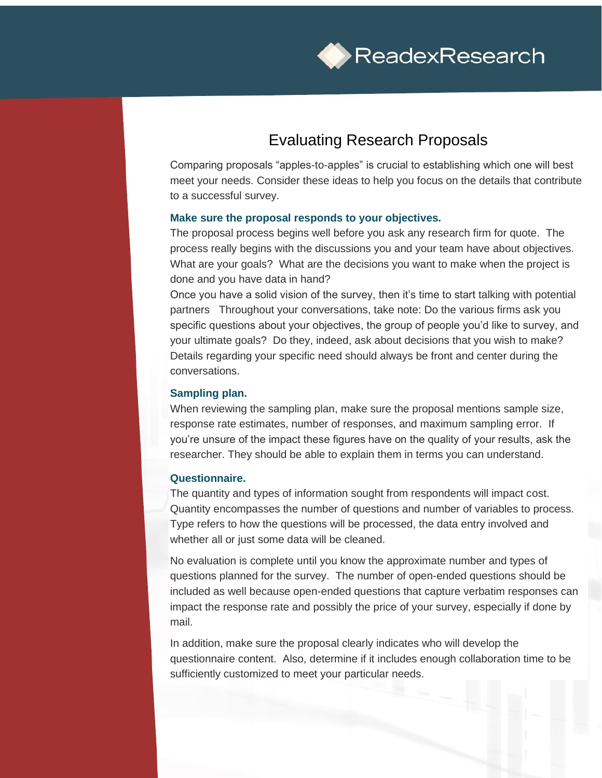

# Evaluating Research Proposals

Comparing proposals "apples-to-apples" is crucial to establishing which one will best meet your needs. Consider these ideas to help you focus on the details that contribute to a successful survey.

### **Make sure the proposal responds to your objectives.**

The proposal process begins well before you ask any research firm for quote. The process really begins with the discussions you and your team have about objectives. What are your goals? What are the decisions you want to make when the project is done and you have data in hand?

Once you have a solid vision of the survey, then it's time to start talking with potential partners Throughout your conversations, take note: Do the various firms ask you specific questions about your objectives, the group of people you'd like to survey, and your ultimate goals? Do they, indeed, ask about decisions that you wish to make? Details regarding your specific need should always be front and center during the conversations.

#### **Sampling plan.**

When reviewing the sampling plan, make sure the proposal mentions sample size, response rate estimates, number of responses, and maximum sampling error. If you're unsure of the impact these figures have on the quality of your results, ask the researcher. They should be able to explain them in terms you can understand.

## **Questionnaire.**

The quantity and types of information sought from respondents will impact cost. Quantity encompasses the number of questions and number of variables to process. Type refers to how the questions will be processed, the data entry involved and whether all or just some data will be cleaned.

No evaluation is complete until you know the approximate number and types of questions planned for the survey. The number of open-ended questions should be included as well because open-ended questions that capture verbatim responses can impact the response rate and possibly the price of your survey, especially if done by mail.

In addition, make sure the proposal clearly indicates who will develop the questionnaire content. Also, determine if it includes enough collaboration time to be sufficiently customized to meet your particular needs.